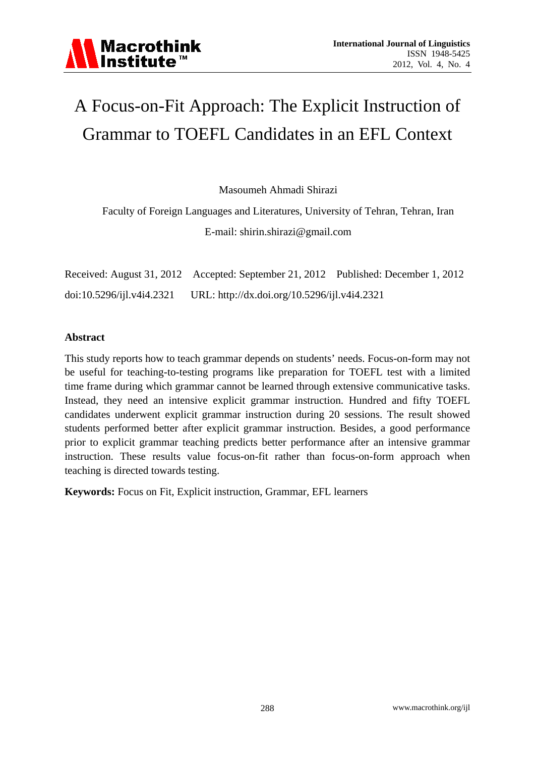

# A Focus-on-Fit Approach: The Explicit Instruction of Grammar to TOEFL Candidates in an EFL Context

Masoumeh Ahmadi Shirazi

Faculty of Foreign Languages and Literatures, University of Tehran, Tehran, Iran E-mail: shirin.shirazi@gmail.com

Received: August 31, 2012 Accepted: September 21, 2012 Published: December 1, 2012 doi:10.5296/ijl.v4i4.2321 URL: http://dx.doi.org/10.5296/ijl.v4i4.2321

#### **Abstract**

This study reports how to teach grammar depends on students' needs. Focus-on-form may not be useful for teaching-to-testing programs like preparation for TOEFL test with a limited time frame during which grammar cannot be learned through extensive communicative tasks. Instead, they need an intensive explicit grammar instruction. Hundred and fifty TOEFL candidates underwent explicit grammar instruction during 20 sessions. The result showed students performed better after explicit grammar instruction. Besides, a good performance prior to explicit grammar teaching predicts better performance after an intensive grammar instruction. These results value focus-on-fit rather than focus-on-form approach when teaching is directed towards testing.

**Keywords:** Focus on Fit, Explicit instruction, Grammar, EFL learners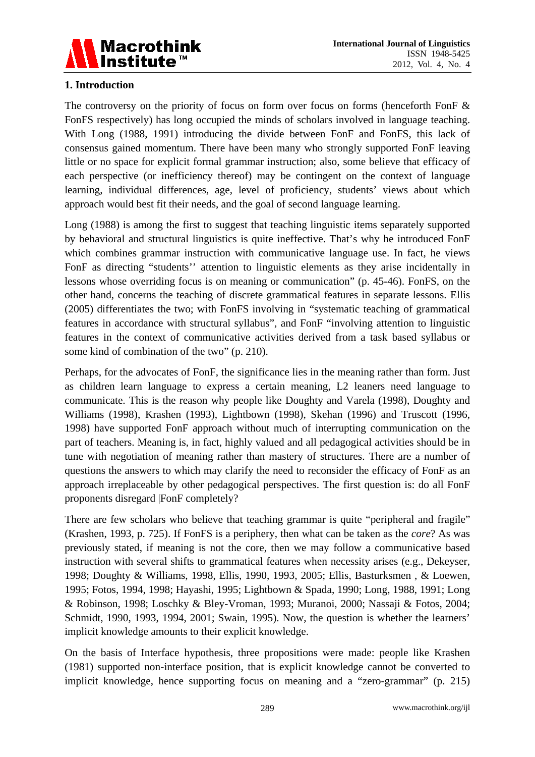

## **1. Introduction**

The controversy on the priority of focus on form over focus on forms (henceforth FonF & FonFS respectively) has long occupied the minds of scholars involved in language teaching. With Long (1988, 1991) introducing the divide between FonF and FonFS, this lack of consensus gained momentum. There have been many who strongly supported FonF leaving little or no space for explicit formal grammar instruction; also, some believe that efficacy of each perspective (or inefficiency thereof) may be contingent on the context of language learning, individual differences, age, level of proficiency, students' views about which approach would best fit their needs, and the goal of second language learning.

Long (1988) is among the first to suggest that teaching linguistic items separately supported by behavioral and structural linguistics is quite ineffective. That's why he introduced FonF which combines grammar instruction with communicative language use. In fact, he views FonF as directing "students'' attention to linguistic elements as they arise incidentally in lessons whose overriding focus is on meaning or communication" (p. 45-46). FonFS, on the other hand, concerns the teaching of discrete grammatical features in separate lessons. Ellis (2005) differentiates the two; with FonFS involving in "systematic teaching of grammatical features in accordance with structural syllabus", and FonF "involving attention to linguistic features in the context of communicative activities derived from a task based syllabus or some kind of combination of the two" (p. 210).

Perhaps, for the advocates of FonF, the significance lies in the meaning rather than form. Just as children learn language to express a certain meaning, L2 leaners need language to communicate. This is the reason why people like Doughty and Varela (1998), Doughty and Williams (1998), Krashen (1993), Lightbown (1998), Skehan (1996) and Truscott (1996, 1998) have supported FonF approach without much of interrupting communication on the part of teachers. Meaning is, in fact, highly valued and all pedagogical activities should be in tune with negotiation of meaning rather than mastery of structures. There are a number of questions the answers to which may clarify the need to reconsider the efficacy of FonF as an approach irreplaceable by other pedagogical perspectives. The first question is: do all FonF proponents disregard |FonF completely?

There are few scholars who believe that teaching grammar is quite "peripheral and fragile" (Krashen, 1993, p. 725). If FonFS is a periphery, then what can be taken as the *core*? As was previously stated, if meaning is not the core, then we may follow a communicative based instruction with several shifts to grammatical features when necessity arises (e.g., Dekeyser, 1998; Doughty & Williams, 1998, Ellis, 1990, 1993, 2005; Ellis, Basturksmen , & Loewen, 1995; Fotos, 1994, 1998; Hayashi, 1995; Lightbown & Spada, 1990; Long, 1988, 1991; Long & Robinson, 1998; Loschky & Bley-Vroman, 1993; Muranoi, 2000; Nassaji & Fotos, 2004; Schmidt, 1990, 1993, 1994, 2001; Swain, 1995). Now, the question is whether the learners' implicit knowledge amounts to their explicit knowledge.

On the basis of Interface hypothesis, three propositions were made: people like Krashen (1981) supported non-interface position, that is explicit knowledge cannot be converted to implicit knowledge, hence supporting focus on meaning and a "zero-grammar" (p. 215)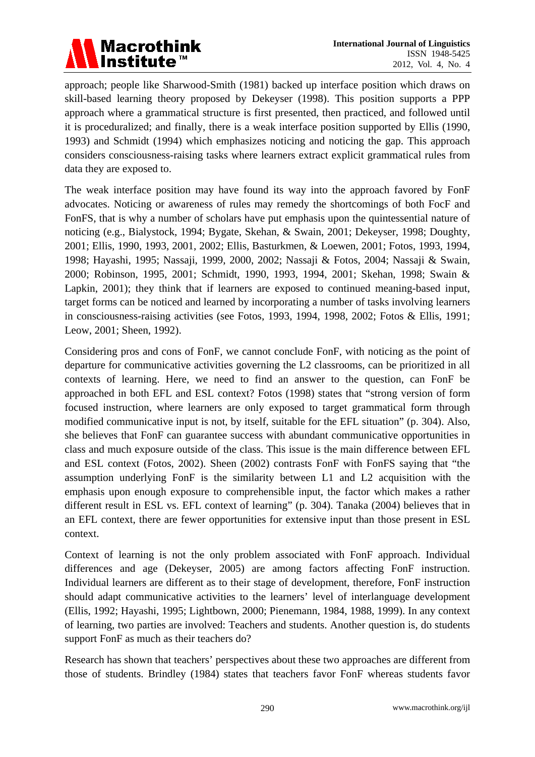

approach; people like Sharwood-Smith (1981) backed up interface position which draws on skill-based learning theory proposed by Dekeyser (1998). This position supports a PPP approach where a grammatical structure is first presented, then practiced, and followed until it is proceduralized; and finally, there is a weak interface position supported by Ellis (1990, 1993) and Schmidt (1994) which emphasizes noticing and noticing the gap. This approach considers consciousness-raising tasks where learners extract explicit grammatical rules from data they are exposed to.

The weak interface position may have found its way into the approach favored by FonF advocates. Noticing or awareness of rules may remedy the shortcomings of both FocF and FonFS, that is why a number of scholars have put emphasis upon the quintessential nature of noticing (e.g., Bialystock, 1994; Bygate, Skehan, & Swain, 2001; Dekeyser, 1998; Doughty, 2001; Ellis, 1990, 1993, 2001, 2002; Ellis, Basturkmen, & Loewen, 2001; Fotos, 1993, 1994, 1998; Hayashi, 1995; Nassaji, 1999, 2000, 2002; Nassaji & Fotos, 2004; Nassaji & Swain, 2000; Robinson, 1995, 2001; Schmidt, 1990, 1993, 1994, 2001; Skehan, 1998; Swain & Lapkin, 2001); they think that if learners are exposed to continued meaning-based input, target forms can be noticed and learned by incorporating a number of tasks involving learners in consciousness-raising activities (see Fotos, 1993, 1994, 1998, 2002; Fotos & Ellis, 1991; Leow, 2001; Sheen, 1992).

Considering pros and cons of FonF, we cannot conclude FonF, with noticing as the point of departure for communicative activities governing the L2 classrooms, can be prioritized in all contexts of learning. Here, we need to find an answer to the question, can FonF be approached in both EFL and ESL context? Fotos (1998) states that "strong version of form focused instruction, where learners are only exposed to target grammatical form through modified communicative input is not, by itself, suitable for the EFL situation" (p. 304). Also, she believes that FonF can guarantee success with abundant communicative opportunities in class and much exposure outside of the class. This issue is the main difference between EFL and ESL context (Fotos, 2002). Sheen (2002) contrasts FonF with FonFS saying that "the assumption underlying FonF is the similarity between L1 and L2 acquisition with the emphasis upon enough exposure to comprehensible input, the factor which makes a rather different result in ESL vs. EFL context of learning" (p. 304). Tanaka (2004) believes that in an EFL context, there are fewer opportunities for extensive input than those present in ESL context.

Context of learning is not the only problem associated with FonF approach. Individual differences and age (Dekeyser, 2005) are among factors affecting FonF instruction. Individual learners are different as to their stage of development, therefore, FonF instruction should adapt communicative activities to the learners' level of interlanguage development (Ellis, 1992; Hayashi, 1995; Lightbown, 2000; Pienemann, 1984, 1988, 1999). In any context of learning, two parties are involved: Teachers and students. Another question is, do students support FonF as much as their teachers do?

Research has shown that teachers' perspectives about these two approaches are different from those of students. Brindley (1984) states that teachers favor FonF whereas students favor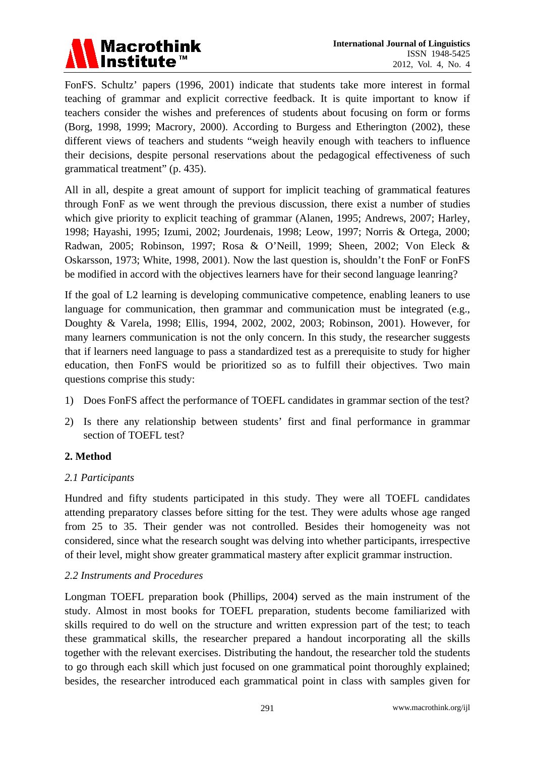

FonFS. Schultz' papers (1996, 2001) indicate that students take more interest in formal teaching of grammar and explicit corrective feedback. It is quite important to know if teachers consider the wishes and preferences of students about focusing on form or forms (Borg, 1998, 1999; Macrory, 2000). According to Burgess and Etherington (2002), these different views of teachers and students "weigh heavily enough with teachers to influence their decisions, despite personal reservations about the pedagogical effectiveness of such grammatical treatment" (p. 435).

All in all, despite a great amount of support for implicit teaching of grammatical features through FonF as we went through the previous discussion, there exist a number of studies which give priority to explicit teaching of grammar (Alanen, 1995; Andrews, 2007; Harley, 1998; Hayashi, 1995; Izumi, 2002; Jourdenais, 1998; Leow, 1997; Norris & Ortega, 2000; Radwan, 2005; Robinson, 1997; Rosa & O'Neill, 1999; Sheen, 2002; Von Eleck & Oskarsson, 1973; White, 1998, 2001). Now the last question is, shouldn't the FonF or FonFS be modified in accord with the objectives learners have for their second language leanring?

If the goal of L2 learning is developing communicative competence, enabling leaners to use language for communication, then grammar and communication must be integrated (e.g., Doughty & Varela, 1998; Ellis, 1994, 2002, 2002, 2003; Robinson, 2001). However, for many learners communication is not the only concern. In this study, the researcher suggests that if learners need language to pass a standardized test as a prerequisite to study for higher education, then FonFS would be prioritized so as to fulfill their objectives. Two main questions comprise this study:

- 1) Does FonFS affect the performance of TOEFL candidates in grammar section of the test?
- 2) Is there any relationship between students' first and final performance in grammar section of TOEFL test?

## **2. Method**

#### *2.1 Participants*

Hundred and fifty students participated in this study. They were all TOEFL candidates attending preparatory classes before sitting for the test. They were adults whose age ranged from 25 to 35. Their gender was not controlled. Besides their homogeneity was not considered, since what the research sought was delving into whether participants, irrespective of their level, might show greater grammatical mastery after explicit grammar instruction.

#### *2.2 Instruments and Procedures*

Longman TOEFL preparation book (Phillips, 2004) served as the main instrument of the study. Almost in most books for TOEFL preparation, students become familiarized with skills required to do well on the structure and written expression part of the test; to teach these grammatical skills, the researcher prepared a handout incorporating all the skills together with the relevant exercises. Distributing the handout, the researcher told the students to go through each skill which just focused on one grammatical point thoroughly explained; besides, the researcher introduced each grammatical point in class with samples given for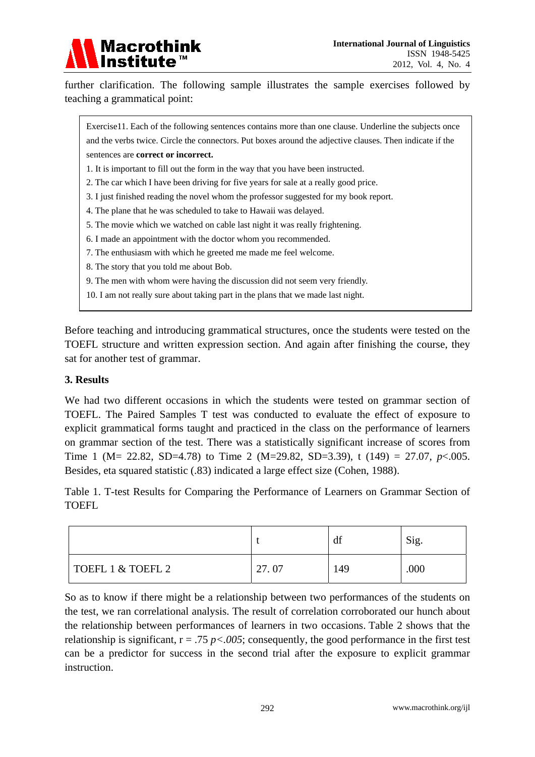

further clarification. The following sample illustrates the sample exercises followed by teaching a grammatical point:

Exercise11. Each of the following sentences contains more than one clause. Underline the subjects once and the verbs twice. Circle the connectors. Put boxes around the adjective clauses. Then indicate if the sentences are **correct or incorrect.** 

- 1. It is important to fill out the form in the way that you have been instructed.
- 2. The car which I have been driving for five years for sale at a really good price.
- 3. I just finished reading the novel whom the professor suggested for my book report.
- 4. The plane that he was scheduled to take to Hawaii was delayed.
- 5. The movie which we watched on cable last night it was really frightening.
- 6. I made an appointment with the doctor whom you recommended.
- 7. The enthusiasm with which he greeted me made me feel welcome.
- 8. The story that you told me about Bob.
- 9. The men with whom were having the discussion did not seem very friendly.
- 10. I am not really sure about taking part in the plans that we made last night.

Before teaching and introducing grammatical structures, once the students were tested on the TOEFL structure and written expression section. And again after finishing the course, they sat for another test of grammar.

#### **3. Results**

We had two different occasions in which the students were tested on grammar section of TOEFL. The Paired Samples T test was conducted to evaluate the effect of exposure to explicit grammatical forms taught and practiced in the class on the performance of learners on grammar section of the test. There was a statistically significant increase of scores from Time 1 (M= 22.82, SD=4.78) to Time 2 (M=29.82, SD=3.39), t (149) = 27.07, *p*<.005. Besides, eta squared statistic (.83) indicated a large effect size (Cohen, 1988).

Table 1. T-test Results for Comparing the Performance of Learners on Grammar Section of **TOEFL** 

|                   |       | df  | Sig. |
|-------------------|-------|-----|------|
| TOEFL 1 & TOEFL 2 | 27.07 | 149 | .000 |

So as to know if there might be a relationship between two performances of the students on the test, we ran correlational analysis. The result of correlation corroborated our hunch about the relationship between performances of learners in two occasions. Table 2 shows that the relationship is significant,  $r = .75 p < .005$ ; consequently, the good performance in the first test can be a predictor for success in the second trial after the exposure to explicit grammar instruction.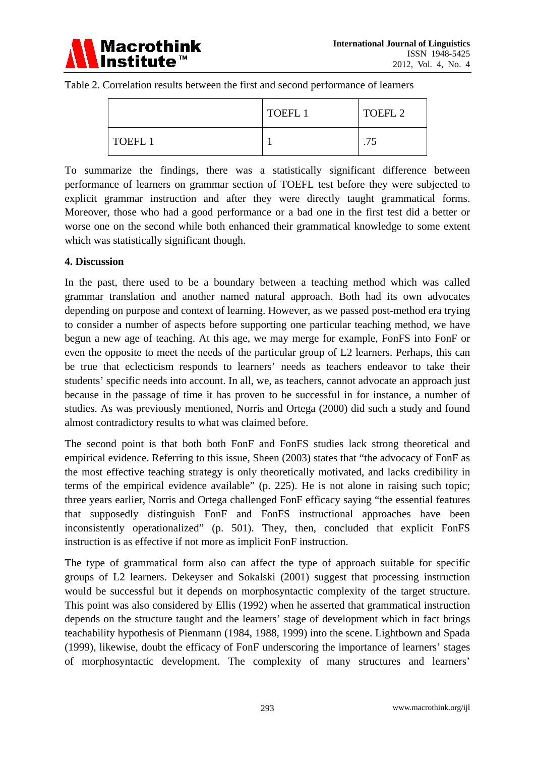|         | TOEFL 1 | TOEFL 2 |
|---------|---------|---------|
| TOEFL 1 |         | .75     |

To summarize the findings, there was a statistically significant difference between performance of learners on grammar section of TOEFL test before they were subjected to explicit grammar instruction and after they were directly taught grammatical forms. Moreover, those who had a good performance or a bad one in the first test did a better or worse one on the second while both enhanced their grammatical knowledge to some extent which was statistically significant though.

#### **4. Discussion**

In the past, there used to be a boundary between a teaching method which was called grammar translation and another named natural approach. Both had its own advocates depending on purpose and context of learning. However, as we passed post-method era trying to consider a number of aspects before supporting one particular teaching method, we have begun a new age of teaching. At this age, we may merge for example, FonFS into FonF or even the opposite to meet the needs of the particular group of L2 learners. Perhaps, this can be true that eclecticism responds to learners' needs as teachers endeavor to take their students' specific needs into account. In all, we, as teachers, cannot advocate an approach just because in the passage of time it has proven to be successful in for instance, a number of studies. As was previously mentioned, Norris and Ortega (2000) did such a study and found almost contradictory results to what was claimed before.

The second point is that both both FonF and FonFS studies lack strong theoretical and empirical evidence. Referring to this issue, Sheen (2003) states that "the advocacy of FonF as the most effective teaching strategy is only theoretically motivated, and lacks credibility in terms of the empirical evidence available" (p. 225). He is not alone in raising such topic; three years earlier, Norris and Ortega challenged FonF efficacy saying "the essential features that supposedly distinguish FonF and FonFS instructional approaches have been inconsistently operationalized" (p. 501). They, then, concluded that explicit FonFS instruction is as effective if not more as implicit FonF instruction.

The type of grammatical form also can affect the type of approach suitable for specific groups of L2 learners. Dekeyser and Sokalski (2001) suggest that processing instruction would be successful but it depends on morphosyntactic complexity of the target structure. This point was also considered by Ellis (1992) when he asserted that grammatical instruction depends on the structure taught and the learners' stage of development which in fact brings teachability hypothesis of Pienmann (1984, 1988, 1999) into the scene. Lightbown and Spada (1999), likewise, doubt the efficacy of FonF underscoring the importance of learners' stages of morphosyntactic development. The complexity of many structures and learners'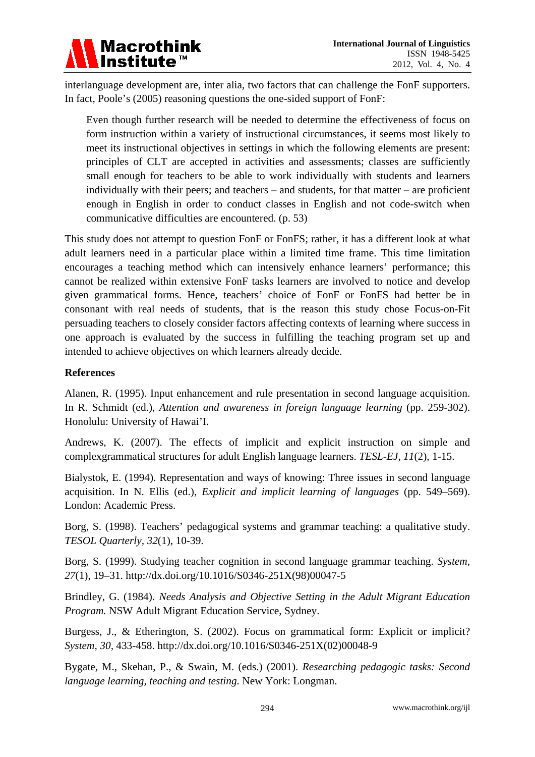

interlanguage development are, inter alia, two factors that can challenge the FonF supporters. In fact, Poole's (2005) reasoning questions the one-sided support of FonF:

Even though further research will be needed to determine the effectiveness of focus on form instruction within a variety of instructional circumstances, it seems most likely to meet its instructional objectives in settings in which the following elements are present: principles of CLT are accepted in activities and assessments; classes are sufficiently small enough for teachers to be able to work individually with students and learners individually with their peers; and teachers – and students, for that matter – are proficient enough in English in order to conduct classes in English and not code-switch when communicative difficulties are encountered. (p. 53)

This study does not attempt to question FonF or FonFS; rather, it has a different look at what adult learners need in a particular place within a limited time frame. This time limitation encourages a teaching method which can intensively enhance learners' performance; this cannot be realized within extensive FonF tasks learners are involved to notice and develop given grammatical forms. Hence, teachers' choice of FonF or FonFS had better be in consonant with real needs of students, that is the reason this study chose Focus-on-Fit persuading teachers to closely consider factors affecting contexts of learning where success in one approach is evaluated by the success in fulfilling the teaching program set up and intended to achieve objectives on which learners already decide.

### **References**

Alanen, R. (1995). Input enhancement and rule presentation in second language acquisition. In R. Schmidt (ed.), *Attention and awareness in foreign language learning* (pp. 259-302). Honolulu: University of Hawai'I.

Andrews, K. (2007). The effects of implicit and explicit instruction on simple and complexgrammatical structures for adult English language learners. *TESL-EJ, 11*(2), 1-15.

Bialystok, E. (1994). Representation and ways of knowing: Three issues in second language acquisition. In N. Ellis (ed.), *Explicit and implicit learning of languages* (pp. 549–569). London: Academic Press.

Borg, S. (1998). Teachers' pedagogical systems and grammar teaching: a qualitative study. *TESOL Quarterly, 32*(1), 10-39.

Borg, S. (1999). Studying teacher cognition in second language grammar teaching. *System, 27*(1), 19–31. http://dx.doi.org/10.1016/S0346-251X(98)00047-5

Brindley, G. (1984). *Needs Analysis and Objective Setting in the Adult Migrant Education Program.* NSW Adult Migrant Education Service, Sydney.

Burgess, J., & Etherington, S. (2002). Focus on grammatical form: Explicit or implicit? *System, 30,* 433-458. http://dx.doi.org/10.1016/S0346-251X(02)00048-9

Bygate, M., Skehan, P., & Swain, M. (eds.) (2001). *Researching pedagogic tasks: Second language learning, teaching and testing.* New York: Longman.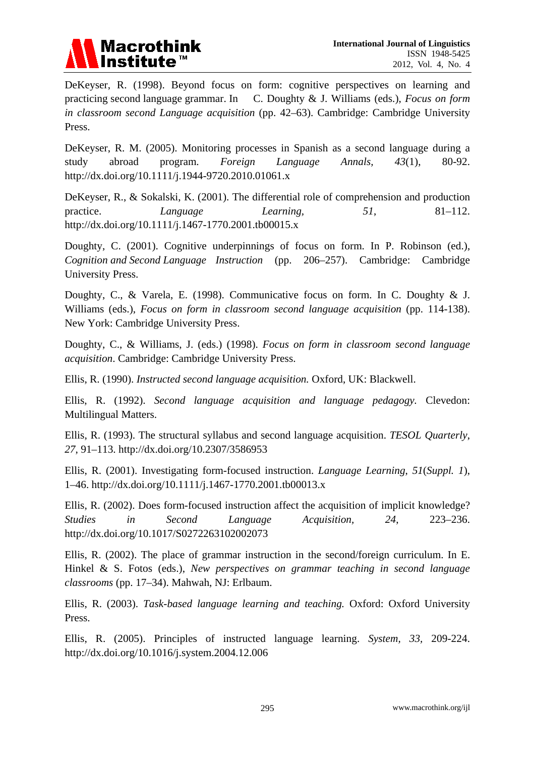

DeKeyser, R. (1998). Beyond focus on form: cognitive perspectives on learning and practicing second language grammar. In C. Doughty & J. Williams (eds.), *Focus on form in classroom second Language acquisition* (pp. 42–63). Cambridge: Cambridge University Press.

DeKeyser, R. M. (2005). Monitoring processes in Spanish as a second language during a study abroad program. *Foreign Language Annals, 43*(1), 80-92. http://dx.doi.org/10.1111/j.1944-9720.2010.01061.x

DeKeyser, R., & Sokalski, K. (2001). The differential role of comprehension and production practice. *Language Learning, 51*, 81–112. http://dx.doi.org/10.1111/j.1467-1770.2001.tb00015.x

Doughty, C. (2001). Cognitive underpinnings of focus on form. In P. Robinson (ed.), *Cognition and Second Language Instruction* (pp. 206–257). Cambridge: Cambridge University Press.

Doughty, C., & Varela, E. (1998). Communicative focus on form. In C. Doughty & J. Williams (eds.), *Focus on form in classroom second language acquisition* (pp. 114-138). New York: Cambridge University Press.

Doughty, C., & Williams, J. (eds.) (1998). *Focus on form in classroom second language acquisition*. Cambridge: Cambridge University Press.

Ellis, R. (1990). *Instructed second language acquisition.* Oxford, UK: Blackwell.

Ellis, R. (1992). *Second language acquisition and language pedagogy.* Clevedon: Multilingual Matters.

Ellis, R. (1993). The structural syllabus and second language acquisition. *TESOL Quarterly*, *27*, 91–113. http://dx.doi.org/10.2307/3586953

Ellis, R. (2001). Investigating form-focused instruction. *Language Learning*, *51*(*Suppl. 1*), 1–46. http://dx.doi.org/10.1111/j.1467-1770.2001.tb00013.x

Ellis, R. (2002). Does form-focused instruction affect the acquisition of implicit knowledge? *Studies in Second Language Acquisition, 24*, 223–236. http://dx.doi.org/10.1017/S0272263102002073

Ellis, R. (2002). The place of grammar instruction in the second/foreign curriculum. In E. Hinkel & S. Fotos (eds.), *New perspectives on grammar teaching in second language classrooms* (pp. 17–34). Mahwah, NJ: Erlbaum.

Ellis, R. (2003). *Task-based language learning and teaching.* Oxford: Oxford University Press.

Ellis, R. (2005). Principles of instructed language learning. *System, 33,* 209-224. http://dx.doi.org/10.1016/j.system.2004.12.006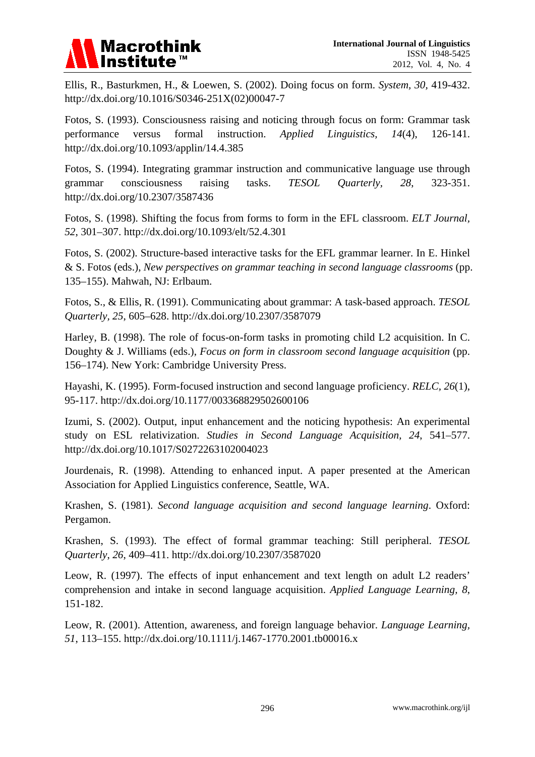

Ellis, R., Basturkmen, H., & Loewen, S. (2002). Doing focus on form. *System, 30,* 419-432. http://dx.doi.org/10.1016/S0346-251X(02)00047-7

Fotos, S. (1993). Consciousness raising and noticing through focus on form: Grammar task performance versus formal instruction. *Applied Linguistics, 14*(4), 126-141. http://dx.doi.org/10.1093/applin/14.4.385

Fotos, S. (1994). Integrating grammar instruction and communicative language use through grammar consciousness raising tasks. *TESOL Quarterly, 28*, 323-351. http://dx.doi.org/10.2307/3587436

Fotos, S. (1998). Shifting the focus from forms to form in the EFL classroom. *ELT Journal, 52*, 301–307. http://dx.doi.org/10.1093/elt/52.4.301

Fotos, S. (2002). Structure-based interactive tasks for the EFL grammar learner. In E. Hinkel & S. Fotos (eds.), *New perspectives on grammar teaching in second language classrooms* (pp. 135–155). Mahwah, NJ: Erlbaum.

Fotos, S., & Ellis, R. (1991). Communicating about grammar: A task-based approach. *TESOL Quarterly, 25*, 605–628. http://dx.doi.org/10.2307/3587079

Harley, B. (1998). The role of focus-on-form tasks in promoting child L2 acquisition. In C. Doughty & J. Williams (eds.), *Focus on form in classroom second language acquisition* (pp. 156–174). New York: Cambridge University Press.

Hayashi, K. (1995). Form-focused instruction and second language proficiency. *RELC, 26*(1), 95-117. http://dx.doi.org/10.1177/003368829502600106

Izumi, S. (2002). Output, input enhancement and the noticing hypothesis: An experimental study on ESL relativization. *Studies in Second Language Acquisition, 24*, 541–577. http://dx.doi.org/10.1017/S0272263102004023

Jourdenais, R. (1998). Attending to enhanced input. A paper presented at the American Association for Applied Linguistics conference, Seattle, WA.

Krashen, S. (1981). *Second language acquisition and second language learning*. Oxford: Pergamon.

Krashen, S. (1993). The effect of formal grammar teaching: Still peripheral. *TESOL Quarterly*, *26*, 409–411. http://dx.doi.org/10.2307/3587020

Leow, R. (1997). The effects of input enhancement and text length on adult L2 readers' comprehension and intake in second language acquisition. *Applied Language Learning, 8*, 151-182.

Leow, R. (2001). Attention, awareness, and foreign language behavior. *Language Learning, 51*, 113–155. http://dx.doi.org/10.1111/j.1467-1770.2001.tb00016.x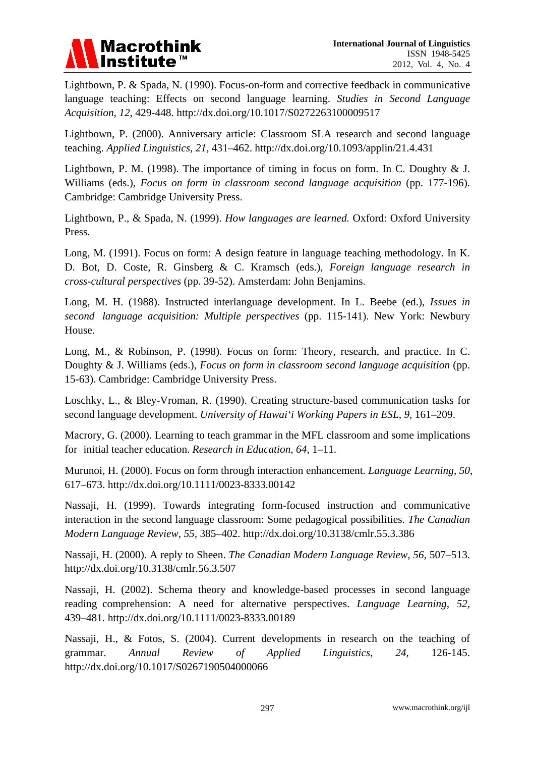

Lightbown, P. & Spada, N. (1990). Focus-on-form and corrective feedback in communicative language teaching: Effects on second language learning. *Studies in Second Language Acquisition*, *12*, 429-448. http://dx.doi.org/10.1017/S0272263100009517

Lightbown, P. (2000). Anniversary article: Classroom SLA research and second language teaching. *Applied Linguistics, 21*, 431–462. http://dx.doi.org/10.1093/applin/21.4.431

Lightbown, P. M. (1998). The importance of timing in focus on form. In C. Doughty & J. Williams (eds.), *Focus on form in classroom second language acquisition* (pp. 177-196). Cambridge: Cambridge University Press.

Lightbown, P., & Spada, N. (1999). *How languages are learned.* Oxford: Oxford University Press.

Long, M. (1991). Focus on form: A design feature in language teaching methodology. In K. D. Bot, D. Coste, R. Ginsberg & C. Kramsch (eds.), *Foreign language research in cross-cultural perspectives* (pp. 39-52). Amsterdam: John Benjamins.

Long, M. H. (1988). Instructed interlanguage development. In L. Beebe (ed.), *Issues in second language acquisition: Multiple perspectives* (pp. 115-141). New York: Newbury House.

Long, M., & Robinson, P. (1998). Focus on form: Theory, research, and practice. In C. Doughty & J. Williams (eds.), *Focus on form in classroom second language acquisition* (pp. 15-63). Cambridge: Cambridge University Press.

Loschky, L., & Bley-Vroman, R. (1990). Creating structure-based communication tasks for second language development. *University of Hawai'i Working Papers in ESL*, *9*, 161–209.

Macrory, G. (2000). Learning to teach grammar in the MFL classroom and some implications for initial teacher education. *Research in Education, 64,* 1–11.

Murunoi, H. (2000). Focus on form through interaction enhancement. *Language Learning*, *50*, 617–673. http://dx.doi.org/10.1111/0023-8333.00142

Nassaji, H. (1999). Towards integrating form-focused instruction and communicative interaction in the second language classroom: Some pedagogical possibilities. *The Canadian Modern Language Review, 55,* 385–402. http://dx.doi.org/10.3138/cmlr.55.3.386

Nassaji, H. (2000). A reply to Sheen. *The Canadian Modern Language Review, 56,* 507–513. http://dx.doi.org/10.3138/cmlr.56.3.507

Nassaji, H. (2002). Schema theory and knowledge-based processes in second language reading comprehension: A need for alternative perspectives. *Language Learning, 52,*  439–481*.* http://dx.doi.org/10.1111/0023-8333.00189

Nassaji, H., & Fotos, S. (2004). Current developments in research on the teaching of grammar. *Annual Review of Applied Linguistics, 24,* 126-145. http://dx.doi.org/10.1017/S0267190504000066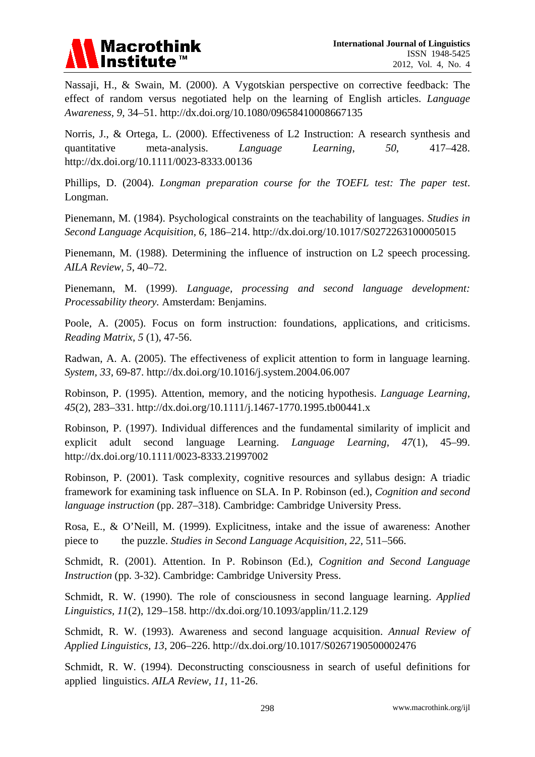

Nassaji, H., & Swain, M. (2000). A Vygotskian perspective on corrective feedback: The effect of random versus negotiated help on the learning of English articles. *Language Awareness, 9,* 34–51. http://dx.doi.org/10.1080/09658410008667135

Norris, J., & Ortega, L. (2000). Effectiveness of L2 Instruction: A research synthesis and quantitative meta-analysis. *Language Learning*, *50*, 417–428. http://dx.doi.org/10.1111/0023-8333.00136

Phillips, D. (2004). *Longman preparation course for the TOEFL test: The paper test*. Longman.

Pienemann, M. (1984). Psychological constraints on the teachability of languages. *Studies in Second Language Acquisition, 6*, 186–214. http://dx.doi.org/10.1017/S0272263100005015

Pienemann, M. (1988). Determining the influence of instruction on L2 speech processing. *AILA Review, 5*, 40–72.

Pienemann, M. (1999). *Language, processing and second language development: Processability theory.* Amsterdam: Benjamins.

Poole, A. (2005). Focus on form instruction: foundations, applications, and criticisms. *Reading Matrix, 5* (1), 47-56.

Radwan, A. A. (2005). The effectiveness of explicit attention to form in language learning. *System, 33,* 69-87. http://dx.doi.org/10.1016/j.system.2004.06.007

Robinson, P. (1995). Attention, memory, and the noticing hypothesis. *Language Learning, 45*(2), 283–331. http://dx.doi.org/10.1111/j.1467-1770.1995.tb00441.x

Robinson, P. (1997). Individual differences and the fundamental similarity of implicit and explicit adult second language Learning. *Language Learning, 47*(1), 45–99. http://dx.doi.org/10.1111/0023-8333.21997002

Robinson, P. (2001). Task complexity, cognitive resources and syllabus design: A triadic framework for examining task influence on SLA. In P. Robinson (ed.), *Cognition and second language instruction* (pp. 287–318). Cambridge: Cambridge University Press.

Rosa, E., & O'Neill, M. (1999). Explicitness, intake and the issue of awareness: Another piece to the puzzle. *Studies in Second Language Acquisition, 22,* 511–566.

Schmidt, R. (2001). Attention. In P. Robinson (Ed.), *Cognition and Second Language Instruction* (pp. 3-32). Cambridge: Cambridge University Press.

Schmidt, R. W. (1990). The role of consciousness in second language learning. *Applied Linguistics, 11*(2), 129–158. http://dx.doi.org/10.1093/applin/11.2.129

Schmidt, R. W. (1993). Awareness and second language acquisition. *Annual Review of Applied Linguistics, 13*, 206–226. http://dx.doi.org/10.1017/S0267190500002476

Schmidt, R. W. (1994). Deconstructing consciousness in search of useful definitions for applied linguistics. *AILA Review*, *11*, 11-26.